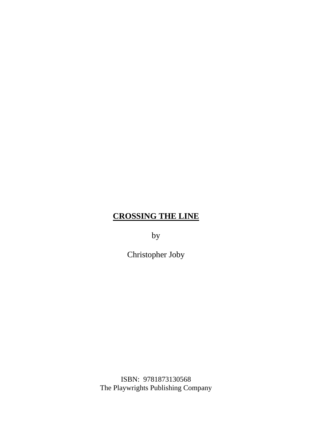by

Christopher Joby

ISBN: 9781873130568 The Playwrights Publishing Company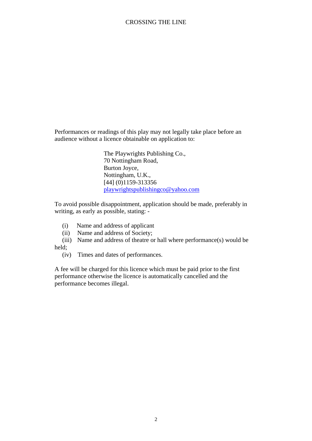Performances or readings of this play may not legally take place before an audience without a licence obtainable on application to:

> The Playwrights Publishing Co., 70 Nottingham Road, Burton Joyce, Nottingham, U.K., [44] (0)1159-313356 [playwrightspublishingco@yahoo.com](mailto:playwrightspublishingco@yahoo.com)

To avoid possible disappointment, application should be made, preferably in writing, as early as possible, stating: -

- (i) Name and address of applicant
- (ii) Name and address of Society;
- (iii) Name and address of theatre or hall where performance(s) would be held;
	- (iv) Times and dates of performances.

A fee will be charged for this licence which must be paid prior to the first performance otherwise the licence is automatically cancelled and the performance becomes illegal.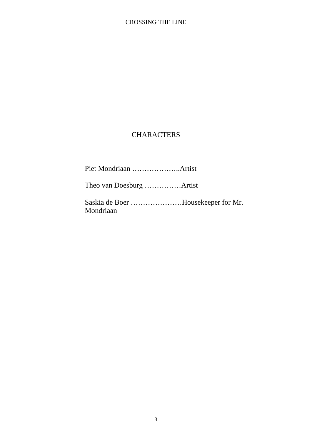# **CHARACTERS**

Piet Mondriaan ………………..Artist

Theo van Doesburg ……………Artist

Saskia de Boer …………………Housekeeper for Mr. Mondriaan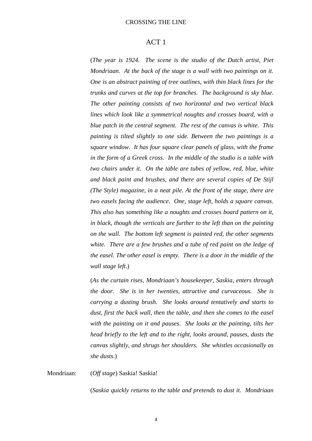#### ACT 1

(*The year is 1924. The scene is the studio of the Dutch artist, Piet Mondriaan. At the back of the stage is a wall with two paintings on it. One is an abstract painting of tree outlines, with thin black lines for the trunks and curves at the top for branches. The background is sky blue. The other painting consists of two horizontal and two vertical black lines which look like a symmetrical noughts and crosses board, with a blue patch in the central segment. The rest of the canvas is white. This painting is tilted slightly to one side. Between the two paintings is a square window. It has four square clear panels of glass, with the frame in the form of a Greek cross. In the middle of the studio is a table with two chairs under it. On the table are tubes of yellow, red, blue, white and black paint and brushes, and there are several copies of De Stijl (The Style) magazine, in a neat pile. At the front of the stage, there are two easels facing the audience. One, stage left, holds a square canvas. This also has something like a noughts and crosses board pattern on it, in black, though the verticals are further to the left than on the painting on the wall. The bottom left segment is painted red, the other segments white. There are a few brushes and a tube of red paint on the ledge of the easel. The other easel is empty. There is a door in the middle of the wall stage left.*)

(*As the curtain rises, Mondriaan's housekeeper, Saskia, enters through the door. She is in her twenties, attractive and curvaceous. She is carrying a dusting brush. She looks around tentatively and starts to dust, first the back wall, then the table, and then she comes to the easel with the painting on it and pauses. She looks at the painting, tilts her head briefly to the left and to the right, looks around, pauses, dusts the canvas slightly, and shrugs her shoulders. She whistles occasionally as she dusts.*)

Mondriaan: (*Off stage*) Saskia! Saskia!

(*Saskia quickly returns to the table and pretends to dust it. Mondriaan*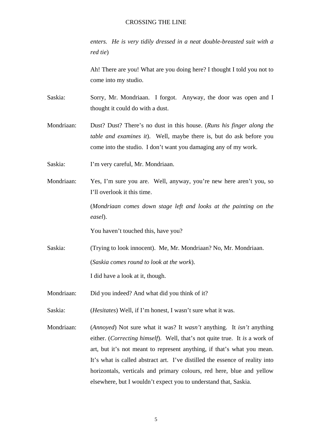*enters. He is very tidily dressed in a neat double-breasted suit with a red tie*)

Ah! There are you! What are you doing here? I thought I told you not to come into my studio.

Saskia: Sorry, Mr. Mondriaan. I forgot. Anyway, the door was open and I thought it could do with a dust.

- Mondriaan: Dust? Dust? There's no dust in this house. (*Runs his finger along the table and examines it*). Well, maybe there is, but do ask before you come into the studio. I don't want you damaging any of my work.
- Saskia: I'm very careful, Mr. Mondriaan.
- Mondriaan: Yes, I'm sure you are. Well, anyway, you're new here aren't you, so I'll overlook it this time.

(*Mondriaan comes down stage left and looks at the painting on the easel*).

You haven't touched this, have you?

- Saskia: (Trying to look innocent). Me, Mr. Mondriaan? No, Mr. Mondriaan. (*Saskia comes round to look at the work*). I did have a look at it, though.
- Mondriaan: Did you indeed? And what did you think of it?

Saskia: (*Hesitates*) Well, if I'm honest, I wasn't sure what it was.

Mondriaan: (*Annoyed*) Not sure what it was? It *wasn't* anything. It *isn't* anything either. (*Correcting himself*). Well, that's not quite true. It *is* a work of art, but it's not meant to represent anything, if that's what you mean. It's what is called abstract art. I've distilled the essence of reality into horizontals, verticals and primary colours, red here, blue and yellow elsewhere, but I wouldn't expect you to understand that, Saskia.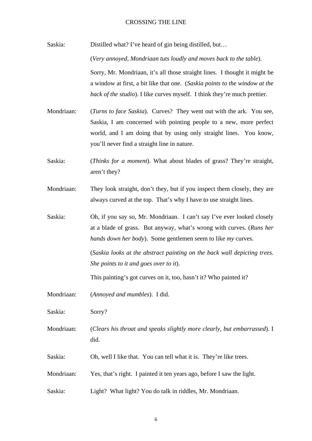Saskia: Distilled what? I've heard of gin being distilled, but... (*Very annoyed, Mondriaan tuts loudly and moves back to the table*). Sorry, Mr. Mondriaan, it's all those straight lines. I thought it might be a window at first, a bit like that one. (*Saskia points to the window at the back of the studio*). I like curves myself. I think they're much prettier.

Mondriaan: (*Turns to face Saskia*). Curves? They went out with the ark. You see, Saskia, I am concerned with pointing people to a new, more perfect world, and I am doing that by using only straight lines. You know, you'll never find a straight line in nature.

Saskia: (*Thinks for a moment*). What about blades of grass? They're straight, aren't they?

Mondriaan: They look straight, don't they, but if you inspect them closely, they are always curved at the top. That's why I have to use straight lines.

Saskia: Oh, if you say so, Mr. Mondriaan. I can't say I've ever looked closely at a blade of grass. But anyway, what's wrong with curves. (*Runs her hands down her body*). Some gentlemen seem to like *my* curves.

> (*Saskia looks at the abstract painting on the back wall depicting trees. She points to it and goes over to it*).

This painting's got curves on it, too, hasn't it? Who painted it?

Mondriaan: (*Annoyed and mumbles*). I did.

Saskia: Sorry?

Mondriaan: (*Clears his throat and speaks slightly more clearly, but embarrassed*). I did.

Saskia: Oh, well I like that. You can tell what it is. They're like trees.

Mondriaan: Yes, that's right. I painted it ten years ago, before I saw the light.

Saskia: Light? What light? You do talk in riddles, Mr. Mondriaan.

6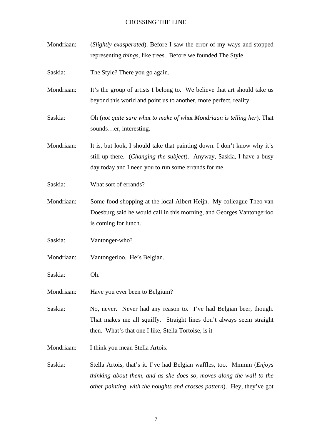| Mondriaan: | (Slightly exasperated). Before I saw the error of my ways and stopped<br>representing things, like trees. Before we founded The Style.                                                                    |
|------------|-----------------------------------------------------------------------------------------------------------------------------------------------------------------------------------------------------------|
| Saskia:    | The Style? There you go again.                                                                                                                                                                            |
| Mondriaan: | It's the group of artists I belong to. We believe that art should take us<br>beyond this world and point us to another, more perfect, reality.                                                            |
| Saskia:    | Oh (not quite sure what to make of what Mondriaan is telling her). That<br>soundser, interesting.                                                                                                         |
| Mondriaan: | It is, but look, I should take that painting down. I don't know why it's<br>still up there. (Changing the subject). Anyway, Saskia, I have a busy<br>day today and I need you to run some errands for me. |
| Saskia:    | What sort of errands?                                                                                                                                                                                     |
| Mondriaan: | Some food shopping at the local Albert Heijn. My colleague Theo van<br>Doesburg said he would call in this morning, and Georges Vantongerloo<br>is coming for lunch.                                      |
| Saskia:    | Vantonger-who?                                                                                                                                                                                            |
| Mondriaan: | Vantongerloo. He's Belgian.                                                                                                                                                                               |
| Saskia:    | Oh.                                                                                                                                                                                                       |
| Mondriaan: | Have you ever been to Belgium?                                                                                                                                                                            |
| Saskia:    | No, never. Never had any reason to. I've had Belgian beer, though.<br>That makes me all squiffy. Straight lines don't always seem straight<br>then. What's that one I like, Stella Tortoise, is it        |
|            |                                                                                                                                                                                                           |

Mondriaan: I think you mean Stella Artois.

Saskia: Stella Artois, that's it. I've had Belgian waffles, too. Mmmm (*Enjoys thinking about them, and as she does so, moves along the wall to the other painting, with the noughts and crosses pattern*). Hey, they've got